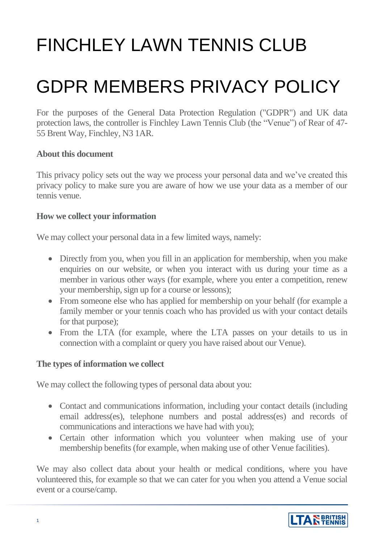# FINCHI FY LAWN TENNIS CLUB

## GDPR MEMBERS PRIVACY POLICY

For the purposes of the General Data Protection Regulation ("GDPR") and UK data protection laws, the controller is Finchley Lawn Tennis Club (the "Venue") of Rear of 47- 55 Brent Way, Finchley, N3 1AR.

#### **About this document**

This privacy policy sets out the way we process your personal data and we've created this privacy policy to make sure you are aware of how we use your data as a member of our tennis venue.

#### **How we collect your information**

We may collect your personal data in a few limited ways, namely:

- Directly from you, when you fill in an application for membership, when you make enquiries on our website, or when you interact with us during your time as a member in various other ways (for example, where you enter a competition, renew your membership, sign up for a course or lessons);
- From someone else who has applied for membership on your behalf (for example a family member or your tennis coach who has provided us with your contact details for that purpose);
- From the LTA (for example, where the LTA passes on your details to us in connection with a complaint or query you have raised about our Venue).

#### **The types of information we collect**

We may collect the following types of personal data about you:

- Contact and communications information, including your contact details (including email address(es), telephone numbers and postal address(es) and records of communications and interactions we have had with you);
- Certain other information which you volunteer when making use of your membership benefits (for example, when making use of other Venue facilities).

We may also collect data about your health or medical conditions, where you have volunteered this, for example so that we can cater for you when you attend a Venue social event or a course/camp.

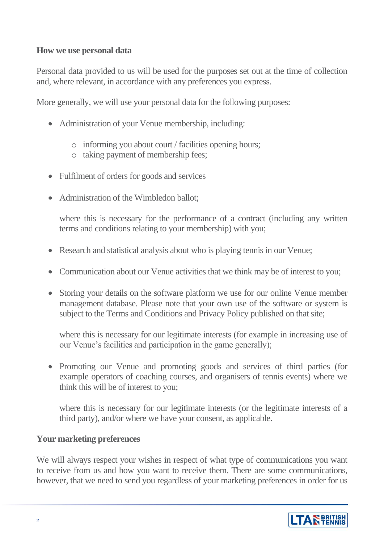#### **How we use personal data**

Personal data provided to us will be used for the purposes set out at the time of collection and, where relevant, in accordance with any preferences you express.

More generally, we will use your personal data for the following purposes:

- Administration of your Venue membership, including:
	- o informing you about court / facilities opening hours;
	- o taking payment of membership fees;
- Fulfilment of orders for goods and services
- Administration of the Wimbledon ballot:

where this is necessary for the performance of a contract (including any written terms and conditions relating to your membership) with you;

- Research and statistical analysis about who is playing tennis in our Venue;
- Communication about our Venue activities that we think may be of interest to you;
- Storing your details on the software platform we use for our online Venue member management database. Please note that your own use of the software or system is subject to the Terms and Conditions and Privacy Policy published on that site;

where this is necessary for our legitimate interests (for example in increasing use of our Venue's facilities and participation in the game generally);

• Promoting our Venue and promoting goods and services of third parties (for example operators of coaching courses, and organisers of tennis events) where we think this will be of interest to you;

where this is necessary for our legitimate interests (or the legitimate interests of a third party), and/or where we have your consent, as applicable.

#### **Your marketing preferences**

We will always respect your wishes in respect of what type of communications you want to receive from us and how you want to receive them. There are some communications, however, that we need to send you regardless of your marketing preferences in order for us

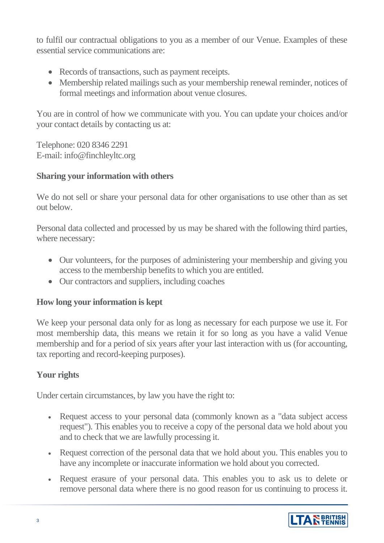to fulfil our contractual obligations to you as a member of our Venue. Examples of these essential service communications are:

- Records of transactions, such as payment receipts.
- Membership related mailings such as your membership renewal reminder, notices of formal meetings and information about venue closures.

You are in control of how we communicate with you. You can update your choices and/or your contact details by contacting us at:

Telephone: 020 8346 2291 E-mail: info@finchleyltc.org

## **Sharing your information with others**

We do not sell or share your personal data for other organisations to use other than as set out below.

Personal data collected and processed by us may be shared with the following third parties, where necessary:

- Our volunteers, for the purposes of administering your membership and giving you access to the membership benefits to which you are entitled.
- Our contractors and suppliers, including coaches

### **How long your information is kept**

We keep your personal data only for as long as necessary for each purpose we use it. For most membership data, this means we retain it for so long as you have a valid Venue membership and for a period of six years after your last interaction with us (for accounting, tax reporting and record-keeping purposes).

## **Your rights**

Under certain circumstances, by law you have the right to:

- Request access to your personal data (commonly known as a "data subject access" request"). This enables you to receive a copy of the personal data we hold about you and to check that we are lawfully processing it.
- Request correction of the personal data that we hold about you. This enables you to have any incomplete or inaccurate information we hold about you corrected.
- Request erasure of your personal data. This enables you to ask us to delete or remove personal data where there is no good reason for us continuing to process it.